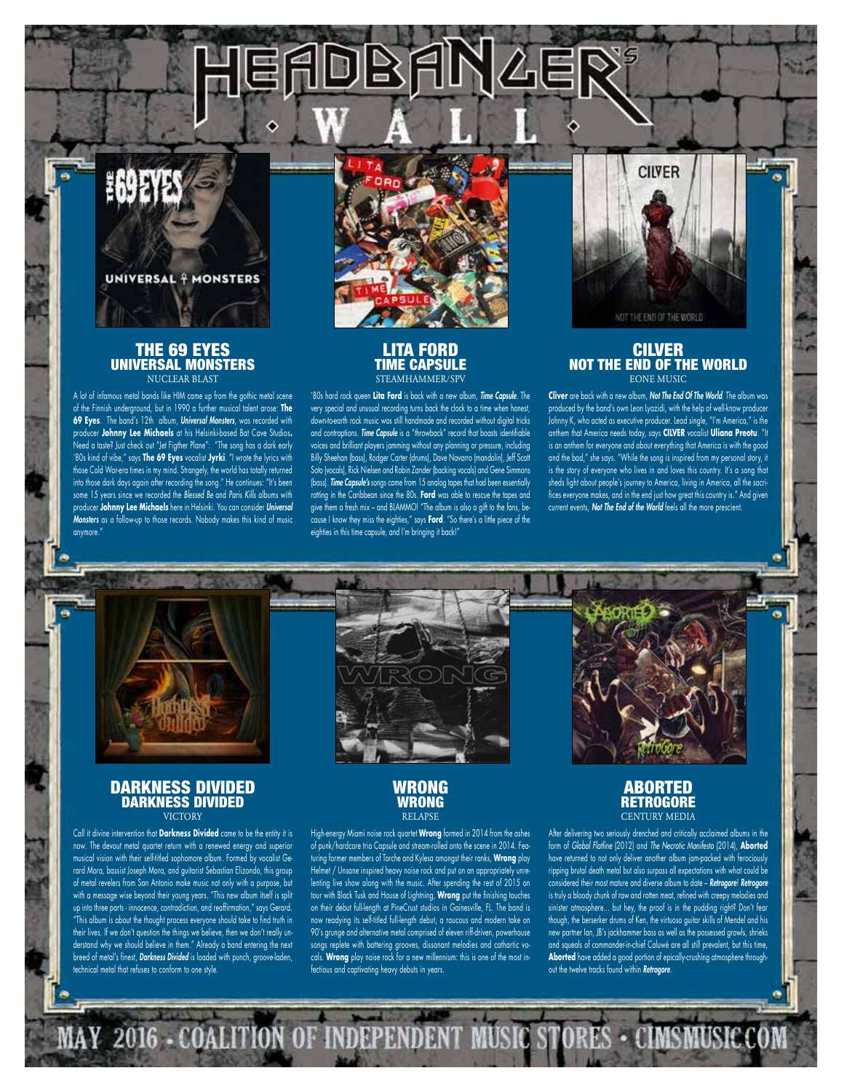

# THE 69 EYES UNIVERSAL MONSTERS NUCLEAR BLAST

A lot of infamous metal bands like HIM came up from the gothic metal scene of the Finnish underground, but in 1990 a further musical talent arose: **The 69 Eyes**. The band's 12th album, *Universal Monsters*, was recorded with producer **Johnny Lee Michaels** at his Helsinki-based Bat Cave Studios**.** Need a taste? Just check out "Jet Figther Plane": "The song has a dark early '80s kind of vibe," says **The 69 Eyes** vocalist **Jyrki**. "I wrote the lyrics with those Cold War-era times in my mind. Strangely, the world has totally returned into those dark days again after recording the song." He continues: "It's been some 15 years since we recorded the *Blessed Be* and *Paris Kills* albums with producer **Johnny Lee Michaels** here in Helsinki. You can consider *Universal Monsters* as a follow-up to those records. Nobody makes this kind of music anymore."



DBANAEI

## LITA FORD TIME CAPSULE STEAMHAMMER/SPV

'80s hard rock queen **Lita Ford** is back with a new album, *Time Capsule*. The very special and unusual recording turns back the clock to a time when honest, down-to-earth rock music was still handmade and recorded without digital tricks and contraptions. *Time Capsule* is a "throwback" record that boasts identifiable voices and brilliant players jamming without any planning or pressure, including Billy Sheehan (bass), Rodger Carter (drums), Dave Navarro (mandolin), Jeff Scott Soto (vocals), Rick Nielsen and Robin Zander (backing vocals) and Gene Simmons (bass). *Time Capsule's* songs came from 15 analog tapes that had been essentially rotting in the Caribbean since the 80s. **Ford** was able to rescue the tapes and give them a fresh mix – and BLAMMO! "The album is also a gift to the fans, because I know they miss the eighties," says **Ford**. "So there's a little piece of the eighties in this time capsule, and I'm bringing it back!"



#### **CILVER** NOT THE END OF THE WORLD EONE MUSIC

**Cliver** are back with a new album, *Not The End Of The World*. The album was produced by the band's own Leon Lyazidi, with the help of well-know producer Johnny K, who acted as executive producer. Lead single, "I'm America," is the anthem that America needs today, says **CILVER** vocalist **Uliana Preotu**. "It is an anthem for everyone and about everything that America is with the good and the bad," she says. "While the song is inspired from my personal story, it is the story of everyone who lives in and loves this country. It's a song that sheds light about people's journey to America, living in America, all the sacrifices everyone makes, and in the end just how great this country is." And given current events, *Not The End of the World* feels all the more prescient.



## DARKNESS DIVIDED DARKNESS DIVIDED **VICTORY**

Call it divine intervention that **Darkness Divided** came to be the entity it is now. The devout metal quartet return with a renewed energy and superior musical vision with their self-titled sophomore album. Formed by vocalist Gerard Mora, bassist Joseph Mora, and guitarist Sebastian Elizondo, this group of metal revelers from San Antonio make music not only with a purpose, but with a message wise beyond their young years. "This new album itself is split up into three parts - innocence, contradiction, and reaffirmation," says Gerard. This album is about the thought process everyone should take to find truth in their lives. If we don't question the things we believe, then we don't really understand why we should believe in them." Already a band entering the next breed of metal's finest, *Darkness Divided* is loaded with punch, groove-laden, technical metal that refuses to conform to one style.

MAY 2016 COALIT



High-energy Miami noise rock quartet **Wrong** formed in 2014 from the ashes of punk/hardcore trio Capsule and stream-rolled onto the scene in 2014. Featuring former members of Torche and Kylesa amongst their ranks, **Wrong** play Helmet / Unsane inspired heavy noise rock and put on an appropriately unrelenting live show along with the music. After spending the rest of 2015 on tour with Black Tusk and House of Lightning, **Wrong** put the finishing touches on their debut full-length at PineCrust studios in Gainesville, FL. The band is now readying its self-titled full-length debut, a raucous and modern take on 90's grunge and alternative metal comprised of eleven riff-driven, powerhouse songs replete with battering grooves, dissonant melodies and cathartic vocals. **Wrong** play noise rock for a new millennium: this is one of the most infectious and captivating heavy debuts in years.

EPEND

# ABORTED RETROGORE CENTURY MEDIA

After delivering two seriously drenched and critically acclaimed albums in the form of *Global Flatline* (2012) and *The Necrotic Manifesto* (2014), **Aborted** have returned to not only deliver another album jam-packed with ferociously ripping brutal death metal but also surpass all expectations with what could be considered their most mature and diverse album to date – *Retrogore*! *Retrogore* is truly a bloody chunk of raw and rotten meat, refined with creepy melodies and sinister atmosphere... but hey, the proof is in the pudding right? Don't fear though, the berserker drums of Ken, the virtuoso guitar skills of Mendel and his new partner Ian, JB's jackhammer bass as well as the possessed growls, shrieks and squeals of commander-in-chief Caluwé are all still prevalent, but this time, **Aborted** have added a good portion of epically-crushing atmosphere throughout the twelve tracks found within *Retrogore*.